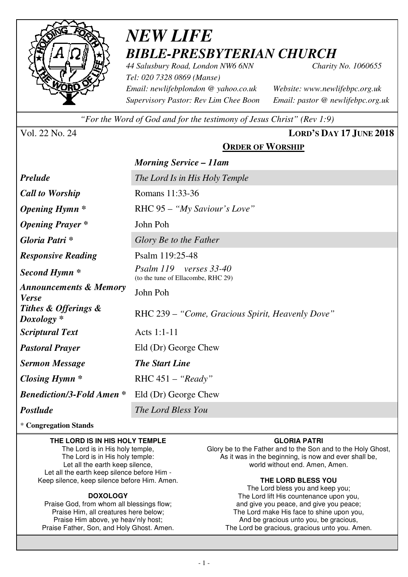

# *NEW LIFE BIBLE-PRESBYTERIAN CHURCH*

*44 Salusbury Road, London NW6 6NN Charity No. 1060655 Tel: 020 7328 0869 (Manse) Email: newlifebplondon @ yahoo.co.uk Website: www.newlifebpc.org.uk Supervisory Pastor: Rev Lim Chee Boon Email: pastor @ newlifebpc.org.uk* 

*"For the Word of God and for the testimony of Jesus Christ" (Rev 1:9)*

Vol. 22 No. 24 **LORD'S DAY 17 JUNE 2018**

## **ORDER OF WORSHIP**

|                                                   | <b>Morning Service – 11am</b>                                   |  |  |  |
|---------------------------------------------------|-----------------------------------------------------------------|--|--|--|
| <b>Prelude</b>                                    | The Lord Is in His Holy Temple                                  |  |  |  |
| <b>Call to Worship</b>                            | Romans 11:33-36                                                 |  |  |  |
| <i><b>Opening Hymn</b></i> *                      | RHC 95 - "My Saviour's Love"                                    |  |  |  |
| <b>Opening Prayer</b> *                           | John Poh                                                        |  |  |  |
| Gloria Patri *                                    | Glory Be to the Father                                          |  |  |  |
| <b>Responsive Reading</b>                         | Psalm 119:25-48                                                 |  |  |  |
| Second Hymn <sup>*</sup>                          | Psalm 119<br>verses 33-40<br>(to the tune of Ellacombe, RHC 29) |  |  |  |
| <b>Announcements &amp; Memory</b><br><b>Verse</b> | John Poh                                                        |  |  |  |
| Tithes & Offerings &<br>$Doxology *$              | RHC 239 – "Come, Gracious Spirit, Heavenly Dove"                |  |  |  |
| <b>Scriptural Text</b>                            | Acts 1:1-11                                                     |  |  |  |
| <b>Pastoral Prayer</b>                            | Eld (Dr) George Chew                                            |  |  |  |
| <b>Sermon Message</b>                             | <b>The Start Line</b>                                           |  |  |  |
| Closing Hymn $*$                                  | RHC $451 - "Ready"$                                             |  |  |  |
| <b>Benediction/3-Fold Amen *</b>                  | Eld (Dr) George Chew                                            |  |  |  |
| <b>Postlude</b>                                   | The Lord Bless You                                              |  |  |  |
|                                                   |                                                                 |  |  |  |

\* **Congregation Stands** 

### **THE LORD IS IN HIS HOLY TEMPLE**

The Lord is in His holy temple, The Lord is in His holy temple: Let all the earth keep silence, Let all the earth keep silence before Him - Keep silence, keep silence before Him. Amen.

### **DOXOLOGY**

Praise God, from whom all blessings flow; Praise Him, all creatures here below; Praise Him above, ye heav'nly host; Praise Father, Son, and Holy Ghost. Amen.

### **GLORIA PATRI**

Glory be to the Father and to the Son and to the Holy Ghost, As it was in the beginning, is now and ever shall be, world without end. Amen, Amen.

### **THE LORD BLESS YOU**

The Lord bless you and keep you; The Lord lift His countenance upon you, and give you peace, and give you peace; The Lord make His face to shine upon you, And be gracious unto you, be gracious, The Lord be gracious, gracious unto you. Amen.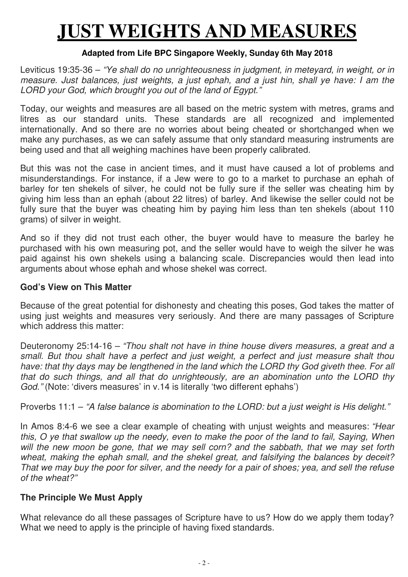# **JUST WEIGHTS AND MEASURES**

## **Adapted from Life BPC Singapore Weekly, Sunday 6th May 2018**

Leviticus 19:35-36 – "Ye shall do no unrighteousness in judgment, in meteyard, in weight, or in measure. Just balances, just weights, a just ephah, and a just hin, shall ye have: I am the LORD your God, which brought you out of the land of Egypt."

Today, our weights and measures are all based on the metric system with metres, grams and litres as our standard units. These standards are all recognized and implemented internationally. And so there are no worries about being cheated or shortchanged when we make any purchases, as we can safely assume that only standard measuring instruments are being used and that all weighing machines have been properly calibrated.

But this was not the case in ancient times, and it must have caused a lot of problems and misunderstandings. For instance, if a Jew were to go to a market to purchase an ephah of barley for ten shekels of silver, he could not be fully sure if the seller was cheating him by giving him less than an ephah (about 22 litres) of barley. And likewise the seller could not be fully sure that the buyer was cheating him by paying him less than ten shekels (about 110) grams) of silver in weight.

And so if they did not trust each other, the buyer would have to measure the barley he purchased with his own measuring pot, and the seller would have to weigh the silver he was paid against his own shekels using a balancing scale. Discrepancies would then lead into arguments about whose ephah and whose shekel was correct.

## **God's View on This Matter**

Because of the great potential for dishonesty and cheating this poses, God takes the matter of using just weights and measures very seriously. And there are many passages of Scripture which address this matter:

Deuteronomy 25:14-16 – "Thou shalt not have in thine house divers measures, a great and a small. But thou shalt have a perfect and just weight, a perfect and just measure shalt thou have: that thy days may be lengthened in the land which the LORD thy God giveth thee. For all that do such things, and all that do unrighteously, are an abomination unto the LORD thy God." (Note: 'divers measures' in v.14 is literally 'two different ephahs')

Proverbs 11:1 – "A false balance is abomination to the LORD: but a just weight is His delight."

In Amos 8:4-6 we see a clear example of cheating with unjust weights and measures: "Hear this, O ye that swallow up the needy, even to make the poor of the land to fail, Saying, When will the new moon be gone, that we may sell corn? and the sabbath, that we may set forth wheat, making the ephah small, and the shekel great, and falsifying the balances by deceit? That we may buy the poor for silver, and the needy for a pair of shoes; yea, and sell the refuse of the wheat?"

## **The Principle We Must Apply**

What relevance do all these passages of Scripture have to us? How do we apply them today? What we need to apply is the principle of having fixed standards.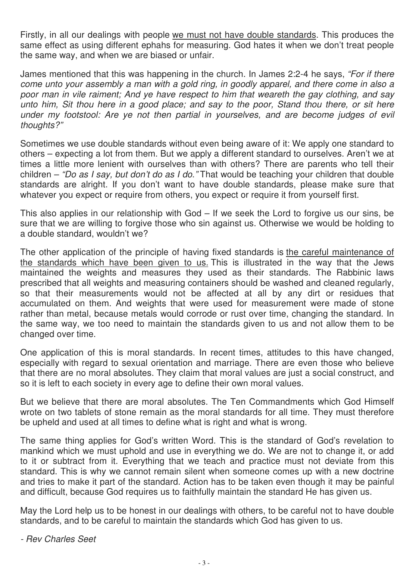Firstly, in all our dealings with people we must not have double standards. This produces the same effect as using different ephahs for measuring. God hates it when we don't treat people the same way, and when we are biased or unfair.

James mentioned that this was happening in the church. In James 2:2-4 he says, "For if there come unto your assembly a man with a gold ring, in goodly apparel, and there come in also a poor man in vile raiment; And ye have respect to him that weareth the gay clothing, and say unto him, Sit thou here in a good place; and say to the poor, Stand thou there, or sit here under my footstool: Are ye not then partial in yourselves, and are become judges of evil thoughts?"

Sometimes we use double standards without even being aware of it: We apply one standard to others – expecting a lot from them. But we apply a different standard to ourselves. Aren't we at times a little more lenient with ourselves than with others? There are parents who tell their children – "Do as I say, but don't do as I do." That would be teaching your children that double standards are alright. If you don't want to have double standards, please make sure that whatever you expect or require from others, you expect or require it from yourself first.

This also applies in our relationship with God – If we seek the Lord to forgive us our sins, be sure that we are willing to forgive those who sin against us. Otherwise we would be holding to a double standard, wouldn't we?

The other application of the principle of having fixed standards is the careful maintenance of the standards which have been given to us. This is illustrated in the way that the Jews maintained the weights and measures they used as their standards. The Rabbinic laws prescribed that all weights and measuring containers should be washed and cleaned regularly, so that their measurements would not be affected at all by any dirt or residues that accumulated on them. And weights that were used for measurement were made of stone rather than metal, because metals would corrode or rust over time, changing the standard. In the same way, we too need to maintain the standards given to us and not allow them to be changed over time.

One application of this is moral standards. In recent times, attitudes to this have changed, especially with regard to sexual orientation and marriage. There are even those who believe that there are no moral absolutes. They claim that moral values are just a social construct, and so it is left to each society in every age to define their own moral values.

But we believe that there are moral absolutes. The Ten Commandments which God Himself wrote on two tablets of stone remain as the moral standards for all time. They must therefore be upheld and used at all times to define what is right and what is wrong.

The same thing applies for God's written Word. This is the standard of God's revelation to mankind which we must uphold and use in everything we do. We are not to change it, or add to it or subtract from it. Everything that we teach and practice must not deviate from this standard. This is why we cannot remain silent when someone comes up with a new doctrine and tries to make it part of the standard. Action has to be taken even though it may be painful and difficult, because God requires us to faithfully maintain the standard He has given us.

May the Lord help us to be honest in our dealings with others, to be careful not to have double standards, and to be careful to maintain the standards which God has given to us.

- Rev Charles Seet